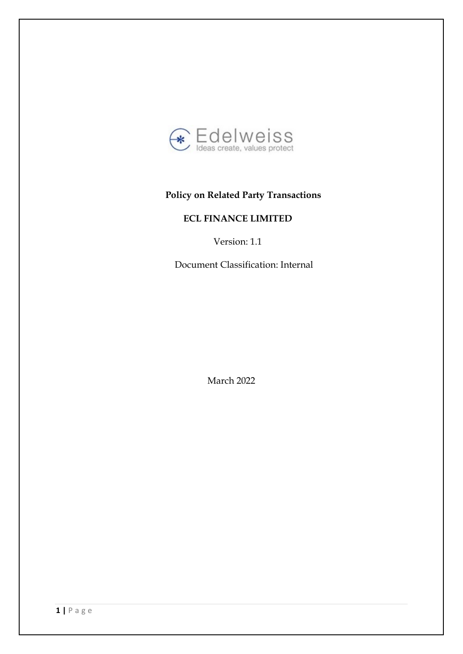

# **Policy on Related Party Transactions**

# **ECL FINANCE LIMITED**

Version: 1.1

Document Classification: Internal

March 2022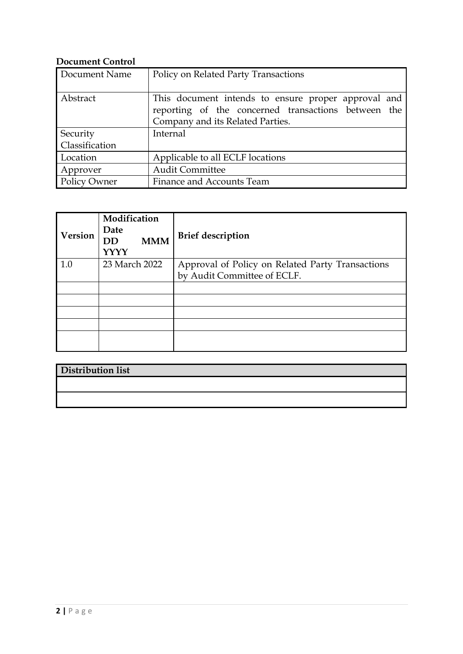## **Document Control**

| Document Name       | Policy on Related Party Transactions                |  |  |
|---------------------|-----------------------------------------------------|--|--|
|                     |                                                     |  |  |
| Abstract            | This document intends to ensure proper approval and |  |  |
|                     | reporting of the concerned transactions between the |  |  |
|                     | Company and its Related Parties.                    |  |  |
| Security            | Internal                                            |  |  |
| Classification      |                                                     |  |  |
| Location            | Applicable to all ECLF locations                    |  |  |
| Approver            | <b>Audit Committee</b>                              |  |  |
| <b>Policy Owner</b> | Finance and Accounts Team                           |  |  |

| Version | Modification<br>Date<br><b>MMM</b><br><b>DD</b><br><b>YYYY</b> | <b>Brief description</b>                         |
|---------|----------------------------------------------------------------|--------------------------------------------------|
| 1.0     | 23 March 2022                                                  | Approval of Policy on Related Party Transactions |
|         |                                                                | by Audit Committee of ECLF.                      |
|         |                                                                |                                                  |
|         |                                                                |                                                  |
|         |                                                                |                                                  |
|         |                                                                |                                                  |
|         |                                                                |                                                  |
|         |                                                                |                                                  |

| Distribution list |  |  |
|-------------------|--|--|
|                   |  |  |
|                   |  |  |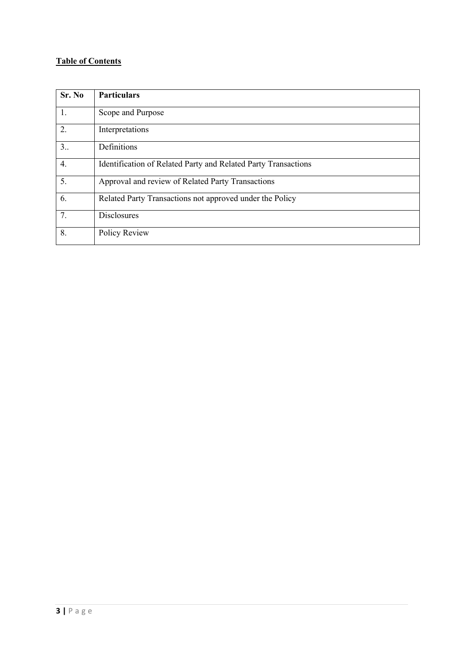## **Table of Contents**

| Sr. No           | <b>Particulars</b>                                             |
|------------------|----------------------------------------------------------------|
| 1.               | Scope and Purpose                                              |
| $\overline{2}$ . | Interpretations                                                |
| 3                | Definitions                                                    |
| 4.               | Identification of Related Party and Related Party Transactions |
| 5.               | Approval and review of Related Party Transactions              |
| 6.               | Related Party Transactions not approved under the Policy       |
| 7.               | <b>Disclosures</b>                                             |
| 8.               | Policy Review                                                  |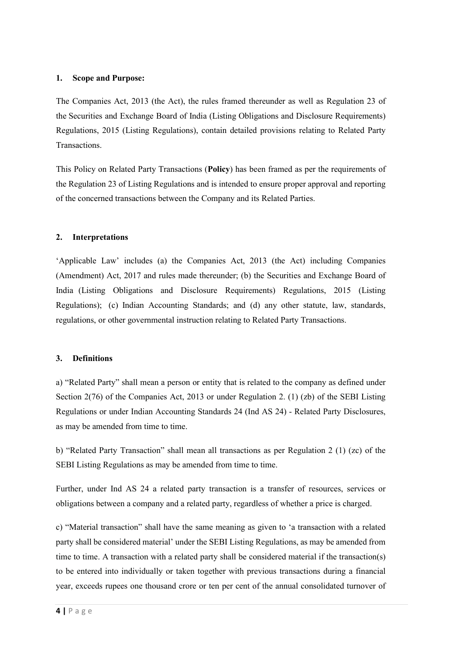#### **1. Scope and Purpose:**

The Companies Act, 2013 (the Act), the rules framed thereunder as well as Regulation 23 of the Securities and Exchange Board of India (Listing Obligations and Disclosure Requirements) Regulations, 2015 (Listing Regulations), contain detailed provisions relating to Related Party Transactions.

This Policy on Related Party Transactions (**Policy**) has been framed as per the requirements of the Regulation 23 of Listing Regulations and is intended to ensure proper approval and reporting of the concerned transactions between the Company and its Related Parties.

#### **2. Interpretations**

'Applicable Law' includes (a) the Companies Act, 2013 (the Act) including Companies (Amendment) Act, 2017 and rules made thereunder; (b) the Securities and Exchange Board of India (Listing Obligations and Disclosure Requirements) Regulations, 2015 (Listing Regulations); (c) Indian Accounting Standards; and (d) any other statute, law, standards, regulations, or other governmental instruction relating to Related Party Transactions.

#### **3. Definitions**

a) "Related Party" shall mean a person or entity that is related to the company as defined under Section 2(76) of the Companies Act, 2013 or under Regulation 2. (1) (zb) of the SEBI Listing Regulations or under Indian Accounting Standards 24 (Ind AS 24) - Related Party Disclosures, as may be amended from time to time.

b) "Related Party Transaction" shall mean all transactions as per Regulation 2 (1) (zc) of the SEBI Listing Regulations as may be amended from time to time.

Further, under Ind AS 24 a related party transaction is a transfer of resources, services or obligations between a company and a related party, regardless of whether a price is charged.

c) "Material transaction" shall have the same meaning as given to 'a transaction with a related party shall be considered material' under the SEBI Listing Regulations, as may be amended from time to time. A transaction with a related party shall be considered material if the transaction(s) to be entered into individually or taken together with previous transactions during a financial year, exceeds rupees one thousand crore or ten per cent of the annual consolidated turnover of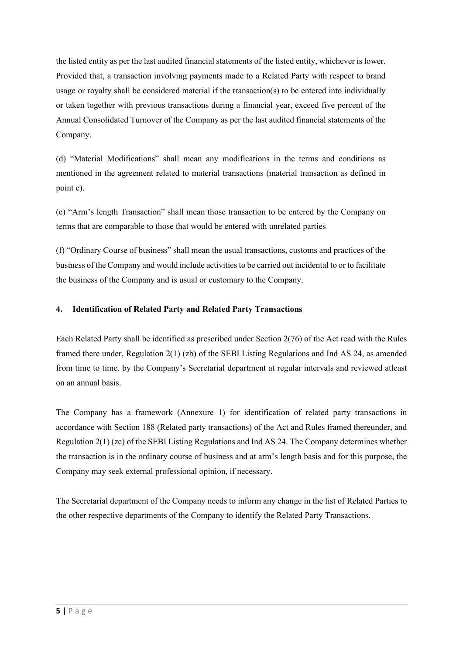the listed entity as per the last audited financial statements of the listed entity, whichever is lower. Provided that, a transaction involving payments made to a Related Party with respect to brand usage or royalty shall be considered material if the transaction(s) to be entered into individually or taken together with previous transactions during a financial year, exceed five percent of the Annual Consolidated Turnover of the Company as per the last audited financial statements of the Company.

(d) "Material Modifications" shall mean any modifications in the terms and conditions as mentioned in the agreement related to material transactions (material transaction as defined in point c).

(e) "Arm's length Transaction" shall mean those transaction to be entered by the Company on terms that are comparable to those that would be entered with unrelated parties

(f) "Ordinary Course of business" shall mean the usual transactions, customs and practices of the business of the Company and would include activities to be carried out incidental to or to facilitate the business of the Company and is usual or customary to the Company.

### **4. Identification of Related Party and Related Party Transactions**

Each Related Party shall be identified as prescribed under Section 2(76) of the Act read with the Rules framed there under, Regulation 2(1) (zb) of the SEBI Listing Regulations and Ind AS 24, as amended from time to time. by the Company's Secretarial department at regular intervals and reviewed atleast on an annual basis.

The Company has a framework (Annexure 1) for identification of related party transactions in accordance with Section 188 (Related party transactions) of the Act and Rules framed thereunder, and Regulation 2(1) (zc) of the SEBI Listing Regulations and Ind AS 24. The Company determines whether the transaction is in the ordinary course of business and at arm's length basis and for this purpose, the Company may seek external professional opinion, if necessary.

The Secretarial department of the Company needs to inform any change in the list of Related Parties to the other respective departments of the Company to identify the Related Party Transactions.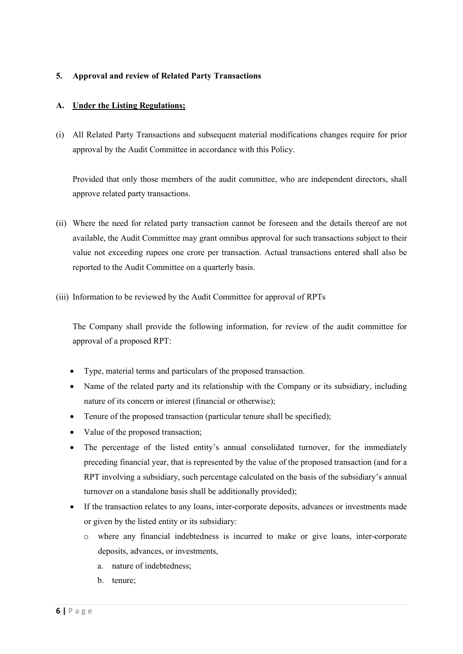### **5. Approval and review of Related Party Transactions**

### **A. Under the Listing Regulations;**

(i) All Related Party Transactions and subsequent material modifications changes require for prior approval by the Audit Committee in accordance with this Policy.

Provided that only those members of the audit committee, who are independent directors, shall approve related party transactions.

- (ii) Where the need for related party transaction cannot be foreseen and the details thereof are not available, the Audit Committee may grant omnibus approval for such transactions subject to their value not exceeding rupees one crore per transaction. Actual transactions entered shall also be reported to the Audit Committee on a quarterly basis.
- (iii) Information to be reviewed by the Audit Committee for approval of RPTs

The Company shall provide the following information, for review of the audit committee for approval of a proposed RPT:

- Type, material terms and particulars of the proposed transaction.
- Name of the related party and its relationship with the Company or its subsidiary, including nature of its concern or interest (financial or otherwise);
- Tenure of the proposed transaction (particular tenure shall be specified);
- Value of the proposed transaction;
- The percentage of the listed entity's annual consolidated turnover, for the immediately preceding financial year, that is represented by the value of the proposed transaction (and for a RPT involving a subsidiary, such percentage calculated on the basis of the subsidiary's annual turnover on a standalone basis shall be additionally provided);
- If the transaction relates to any loans, inter-corporate deposits, advances or investments made or given by the listed entity or its subsidiary:
	- o where any financial indebtedness is incurred to make or give loans, inter-corporate deposits, advances, or investments,
		- a. nature of indebtedness;
		- b. tenure;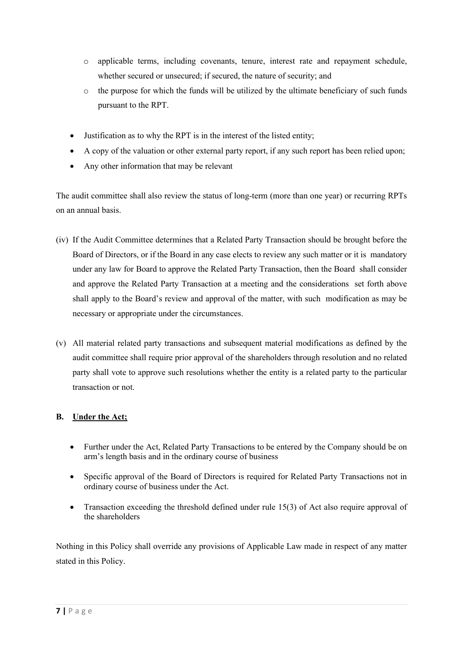- o applicable terms, including covenants, tenure, interest rate and repayment schedule, whether secured or unsecured; if secured, the nature of security; and
- o the purpose for which the funds will be utilized by the ultimate beneficiary of such funds pursuant to the RPT.
- Justification as to why the RPT is in the interest of the listed entity;
- A copy of the valuation or other external party report, if any such report has been relied upon;
- Any other information that may be relevant

The audit committee shall also review the status of long-term (more than one year) or recurring RPTs on an annual basis.

- (iv) If the Audit Committee determines that a Related Party Transaction should be brought before the Board of Directors, or if the Board in any case elects to review any such matter or it is mandatory under any law for Board to approve the Related Party Transaction, then the Board shall consider and approve the Related Party Transaction at a meeting and the considerations set forth above shall apply to the Board's review and approval of the matter, with such modification as may be necessary or appropriate under the circumstances.
- (v) All material related party transactions and subsequent material modifications as defined by the audit committee shall require prior approval of the shareholders through resolution and no related party shall vote to approve such resolutions whether the entity is a related party to the particular transaction or not.

## **B. Under the Act;**

- Further under the Act, Related Party Transactions to be entered by the Company should be on arm's length basis and in the ordinary course of business
- Specific approval of the Board of Directors is required for Related Party Transactions not in ordinary course of business under the Act.
- Transaction exceeding the threshold defined under rule 15(3) of Act also require approval of the shareholders

Nothing in this Policy shall override any provisions of Applicable Law made in respect of any matter stated in this Policy.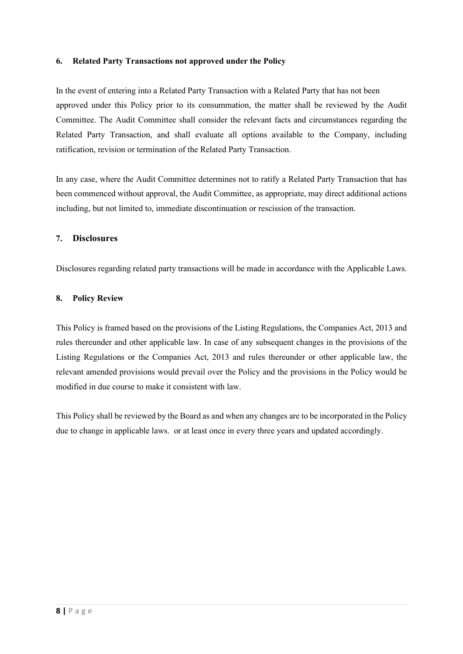#### **6. Related Party Transactions not approved under the Policy**

In the event of entering into a Related Party Transaction with a Related Party that has not been approved under this Policy prior to its consummation, the matter shall be reviewed by the Audit Committee. The Audit Committee shall consider the relevant facts and circumstances regarding the Related Party Transaction, and shall evaluate all options available to the Company, including ratification, revision or termination of the Related Party Transaction.

In any case, where the Audit Committee determines not to ratify a Related Party Transaction that has been commenced without approval, the Audit Committee, as appropriate, may direct additional actions including, but not limited to, immediate discontinuation or rescission of the transaction.

#### **7. Disclosures**

Disclosures regarding related party transactions will be [made in accordan](http://www.hdfc.com/)ce with the Applicable Laws.

#### **8. Policy Review**

This Policy is framed based on the provisions of the Listing Regulations, the Companies Act, 2013 and rules thereunder and other applicable law. In case of any subsequent changes in the provisions of the Listing Regulations or the Companies Act, 2013 and rules thereunder or other applicable law, the relevant amended provisions would prevail over the Policy and the provisions in the Policy would be modified in due course to make it consistent with law.

This Policy shall be reviewed by the Board as and when any changes are to be incorporated in the Policy due to change in applicable laws. or at least once in every three years and updated accordingly.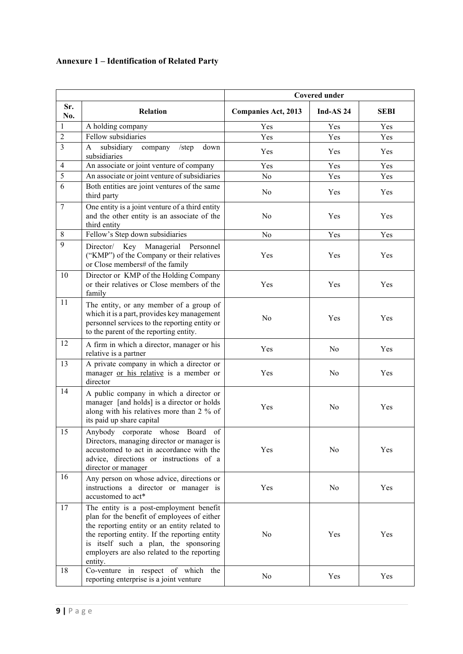# **Annexure 1 – Identification of Related Party**

|                         |                                                                                                                                                                                                                                                                                            | <b>Covered under</b>       |             |             |
|-------------------------|--------------------------------------------------------------------------------------------------------------------------------------------------------------------------------------------------------------------------------------------------------------------------------------------|----------------------------|-------------|-------------|
| Sr.<br>No.              | <b>Relation</b>                                                                                                                                                                                                                                                                            | <b>Companies Act, 2013</b> | Ind-AS $24$ | <b>SEBI</b> |
| $\mathbf{1}$            | A holding company                                                                                                                                                                                                                                                                          | Yes                        | Yes         | Yes         |
| $\overline{2}$          | Fellow subsidiaries                                                                                                                                                                                                                                                                        | Yes                        | Yes         | Yes         |
| $\overline{\mathbf{3}}$ | A<br>subsidiary<br>down<br>company<br>/step<br>subsidiaries                                                                                                                                                                                                                                | Yes                        | Yes         | Yes         |
| $\overline{4}$          | An associate or joint venture of company                                                                                                                                                                                                                                                   | Yes                        | Yes         | Yes         |
| 5                       | An associate or joint venture of subsidiaries                                                                                                                                                                                                                                              | No                         | Yes         | Yes         |
| 6                       | Both entities are joint ventures of the same<br>third party                                                                                                                                                                                                                                | No                         | Yes         | Yes         |
| $\tau$                  | One entity is a joint venture of a third entity<br>and the other entity is an associate of the<br>third entity                                                                                                                                                                             | N <sub>0</sub>             | Yes         | Yes         |
| $\,$ 8 $\,$             | Fellow's Step down subsidiaries                                                                                                                                                                                                                                                            | No                         | Yes         | Yes         |
| 9                       | Director/ Key Managerial Personnel<br>("KMP") of the Company or their relatives<br>or Close members# of the family                                                                                                                                                                         | Yes                        | Yes         | Yes         |
| 10                      | Director or KMP of the Holding Company<br>or their relatives or Close members of the<br>family                                                                                                                                                                                             | Yes                        | Yes         | Yes         |
| 11                      | The entity, or any member of a group of<br>which it is a part, provides key management<br>personnel services to the reporting entity or<br>to the parent of the reporting entity.                                                                                                          | No                         | Yes         | Yes         |
| 12                      | A firm in which a director, manager or his<br>relative is a partner                                                                                                                                                                                                                        | Yes                        | No          | Yes         |
| 13                      | A private company in which a director or<br>manager or his relative is a member or<br>director                                                                                                                                                                                             | Yes                        | No          | Yes         |
| 14                      | A public company in which a director or<br>manager [and holds] is a director or holds<br>along with his relatives more than 2 % of<br>its paid up share capital                                                                                                                            | Yes                        | No          | Yes         |
| 15                      | Anybody corporate whose Board of<br>Directors, managing director or manager is<br>accustomed to act in accordance with the<br>advice, directions or instructions of a<br>director or manager                                                                                               | Yes                        | No          | Yes         |
| 16                      | Any person on whose advice, directions or<br>instructions a director or manager is<br>accustomed to act*                                                                                                                                                                                   | Yes                        | No          | Yes         |
| 17                      | The entity is a post-employment benefit<br>plan for the benefit of employees of either<br>the reporting entity or an entity related to<br>the reporting entity. If the reporting entity<br>is itself such a plan, the sponsoring<br>employers are also related to the reporting<br>entity. | No                         | Yes         | Yes         |
| 18                      | Co-venture in respect of which<br>the<br>reporting enterprise is a joint venture                                                                                                                                                                                                           | No                         | Yes         | Yes         |